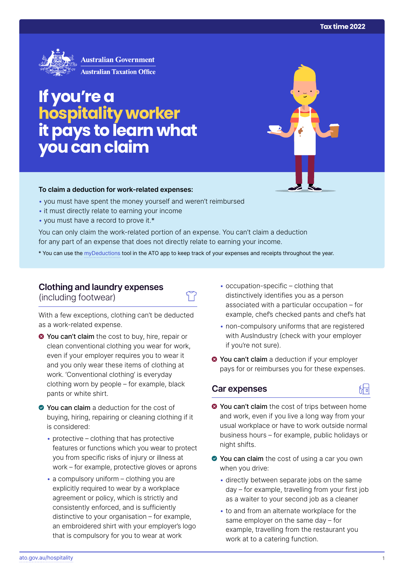

# **If you're a hospitality worker itpays to learn what you can claim**

#### **To claim a deduction for work‑related expenses:**

- you must have spent the money yourself and weren't reimbursed
- it must directly relate to earning your income
- you must have a record to prove it.\*

You can only claim the work-related portion of an expense. You can't claim a deduction for any part of an expense that does not directly relate to earning your income.

\* You can use the [myDeductions](https://ato.gov.au/mydeductions) tool in the ATO app to keep track of your expenses and receipts throughout the year.

## **Clothing and laundry expenses**

(including footwear)

With a few exceptions, clothing can't be deducted as a work-related expense.

- **O** You can't claim the cost to buy, hire, repair or clean conventional clothing you wear for work, even if your employer requires you to wear it and you only wear these items of clothing at work. 'Conventional clothing' is everyday clothing worn by people – for example, black pants or white shirt.
- ◆ You can claim a deduction for the cost of buying, hiring, repairing or cleaning clothing if it is considered:
	- $\bullet$  protective clothing that has protective features or functions which you wear to protect you from specific risks of injury or illness at work – for example, protective gloves or aprons
	- $\cdot$  a compulsory uniform clothing you are explicitly required to wear by a workplace agreement or policy, which is strictly and consistently enforced, and is sufficiently distinctive to your organisation – for example, an embroidered shirt with your employer's logo that is compulsory for you to wear at work
- occupation-specific clothing that distinctively identifies you as a person associated with a particular occupation – for example, chef's checked pants and chef's hat
- non-compulsory uniforms that are registered with AusIndustry (check with your employer if you're not sure).
- $\bullet$  You can't claim a deduction if your employer pays for or reimburses you for these expenses.

### **Car expenses**



- **◆ You can't claim** the cost of trips between home and work, even if you live a long way from your usual workplace or have to work outside normal business hours – for example, public holidays or night shifts.
- ◆ You can claim the cost of using a car you own when you drive:
	- directly between separate jobs on the same day – for example, travelling from your first job as a waiter to your second job as a cleaner
	- to and from an alternate workplace for the same employer on the same day – for example, travelling from the restaurant you work at to a catering function.